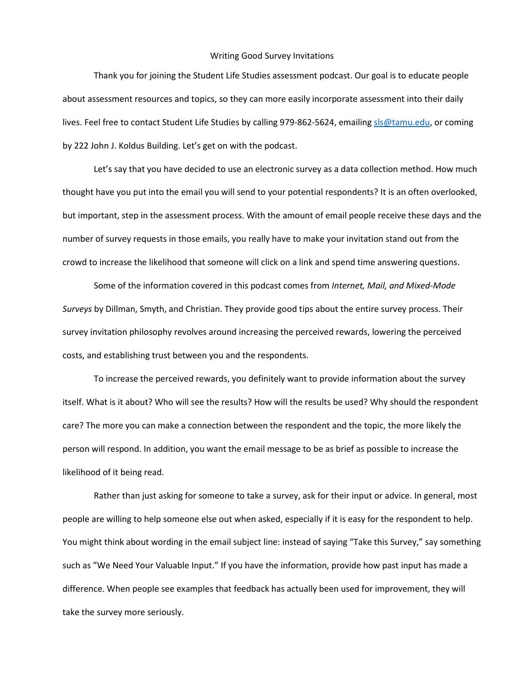## Writing Good Survey Invitations

Thank you for joining the Student Life Studies assessment podcast. Our goal is to educate people about assessment resources and topics, so they can more easily incorporate assessment into their daily lives. Feel free to contact Student Life Studies by calling 979-862-5624, emailin[g sls@tamu.edu,](mailto:sls@tamu.edu) or coming by 222 John J. Koldus Building. Let's get on with the podcast.

Let's say that you have decided to use an electronic survey as a data collection method. How much thought have you put into the email you will send to your potential respondents? It is an often overlooked, but important, step in the assessment process. With the amount of email people receive these days and the number of survey requests in those emails, you really have to make your invitation stand out from the crowd to increase the likelihood that someone will click on a link and spend time answering questions.

Some of the information covered in this podcast comes from *Internet, Mail, and Mixed-Mode Surveys* by Dillman, Smyth, and Christian. They provide good tips about the entire survey process. Their survey invitation philosophy revolves around increasing the perceived rewards, lowering the perceived costs, and establishing trust between you and the respondents.

To increase the perceived rewards, you definitely want to provide information about the survey itself. What is it about? Who will see the results? How will the results be used? Why should the respondent care? The more you can make a connection between the respondent and the topic, the more likely the person will respond. In addition, you want the email message to be as brief as possible to increase the likelihood of it being read.

Rather than just asking for someone to take a survey, ask for their input or advice. In general, most people are willing to help someone else out when asked, especially if it is easy for the respondent to help. You might think about wording in the email subject line: instead of saying "Take this Survey," say something such as "We Need Your Valuable Input." If you have the information, provide how past input has made a difference. When people see examples that feedback has actually been used for improvement, they will take the survey more seriously.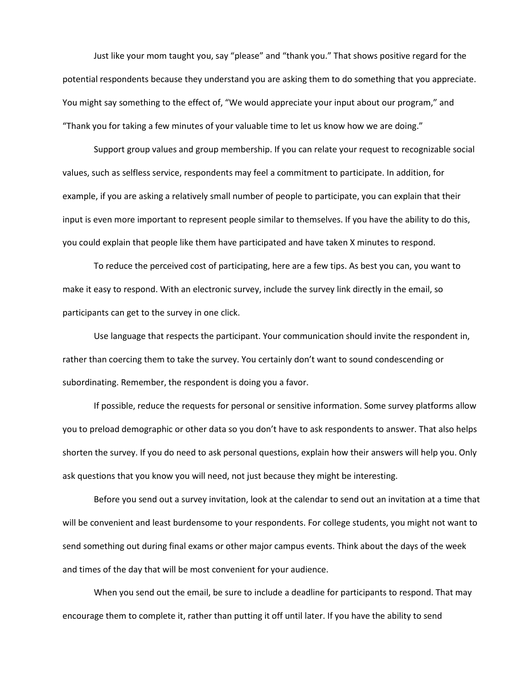Just like your mom taught you, say "please" and "thank you." That shows positive regard for the potential respondents because they understand you are asking them to do something that you appreciate. You might say something to the effect of, "We would appreciate your input about our program," and "Thank you for taking a few minutes of your valuable time to let us know how we are doing."

Support group values and group membership. If you can relate your request to recognizable social values, such as selfless service, respondents may feel a commitment to participate. In addition, for example, if you are asking a relatively small number of people to participate, you can explain that their input is even more important to represent people similar to themselves. If you have the ability to do this, you could explain that people like them have participated and have taken X minutes to respond.

To reduce the perceived cost of participating, here are a few tips. As best you can, you want to make it easy to respond. With an electronic survey, include the survey link directly in the email, so participants can get to the survey in one click.

Use language that respects the participant. Your communication should invite the respondent in, rather than coercing them to take the survey. You certainly don't want to sound condescending or subordinating. Remember, the respondent is doing you a favor.

If possible, reduce the requests for personal or sensitive information. Some survey platforms allow you to preload demographic or other data so you don't have to ask respondents to answer. That also helps shorten the survey. If you do need to ask personal questions, explain how their answers will help you. Only ask questions that you know you will need, not just because they might be interesting.

Before you send out a survey invitation, look at the calendar to send out an invitation at a time that will be convenient and least burdensome to your respondents. For college students, you might not want to send something out during final exams or other major campus events. Think about the days of the week and times of the day that will be most convenient for your audience.

When you send out the email, be sure to include a deadline for participants to respond. That may encourage them to complete it, rather than putting it off until later. If you have the ability to send